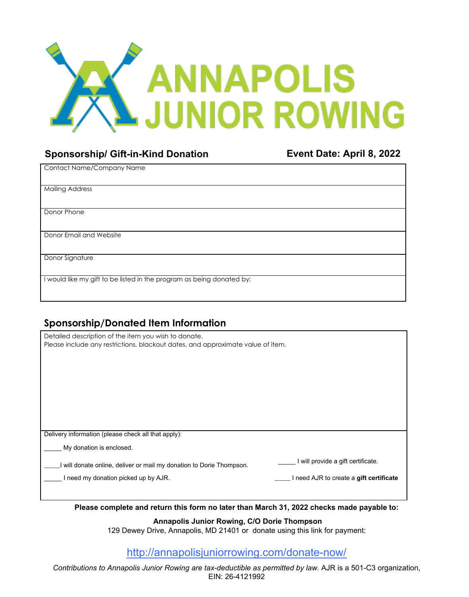

## **Sponsorship/ Gift-in-Kind Donation Event Date: April 8, 2022**

| Contact Name/Company Name                                             |  |
|-----------------------------------------------------------------------|--|
|                                                                       |  |
| <b>Mailing Address</b>                                                |  |
|                                                                       |  |
| Donor Phone                                                           |  |
|                                                                       |  |
| Donor Email and Website                                               |  |
|                                                                       |  |
| Donor Signature                                                       |  |
|                                                                       |  |
| I would like my gift to be listed in the program as being donated by: |  |
|                                                                       |  |

## **Sponsorship/Donated Item Information**

| Detailed description of the item you wish to donate.<br>Please include any restrictions, blackout dates, and approximate value of item. |                                         |  |
|-----------------------------------------------------------------------------------------------------------------------------------------|-----------------------------------------|--|
|                                                                                                                                         |                                         |  |
|                                                                                                                                         |                                         |  |
|                                                                                                                                         |                                         |  |
|                                                                                                                                         |                                         |  |
| Delivery information (please check all that apply):                                                                                     |                                         |  |
| My donation is enclosed.                                                                                                                |                                         |  |
| will donate online, deliver or mail my donation to Dorie Thompson.                                                                      | I will provide a gift certificate.      |  |
| I need my donation picked up by AJR.                                                                                                    | I need AJR to create a gift certificate |  |
|                                                                                                                                         |                                         |  |
|                                                                                                                                         |                                         |  |

**Please complete and return this form no later than March 31, 2022 checks made payable to:** 

 **Annapolis Junior Rowing, C/O Dorie Thompson** 

129 Dewey Drive, Annapolis, MD 21401 or donate using this link for payment:

## http://annapolisjuniorrowing.com/donate-now/

*Contributions to Annapolis Junior Rowing are tax-deductible as permitted by law.* AJR is a 501-C3 organization, EIN: 26-4121992